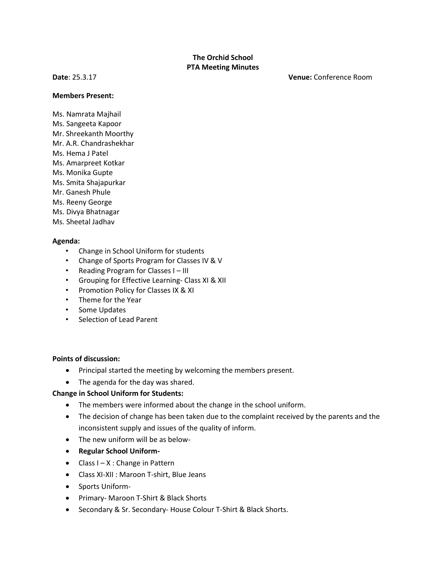## **The Orchid School PTA Meeting Minutes**

**Date**: 25.3.17 **Venue:** Conference Room

#### **Members Present:**

- Ms. Namrata Majhail
- Ms. Sangeeta Kapoor
- Mr. Shreekanth Moorthy
- Mr. A.R. Chandrashekhar
- Ms. Hema J Patel
- Ms. Amarpreet Kotkar
- Ms. Monika Gupte
- Ms. Smita Shajapurkar
- Mr. Ganesh Phule
- Ms. Reeny George
- Ms. Divya Bhatnagar
- Ms. Sheetal Jadhav

#### **Agenda:**

- Change in School Uniform for students
- Change of Sports Program for Classes IV & V
- Reading Program for Classes I III
- Grouping for Effective Learning- Class XI & XII
- Promotion Policy for Classes IX & XI
- Theme for the Year
- Some Updates
- Selection of Lead Parent

### **Points of discussion:**

- Principal started the meeting by welcoming the members present.
- The agenda for the day was shared.

### **Change in School Uniform for Students:**

- The members were informed about the change in the school uniform.
- The decision of change has been taken due to the complaint received by the parents and the inconsistent supply and issues of the quality of inform.
- The new uniform will be as below-
- **Regular School Uniform-**
- Class  $I X$ : Change in Pattern
- Class XI-XII : Maroon T-shirt, Blue Jeans
- Sports Uniform-
- Primary- Maroon T-Shirt & Black Shorts
- Secondary & Sr. Secondary- House Colour T-Shirt & Black Shorts.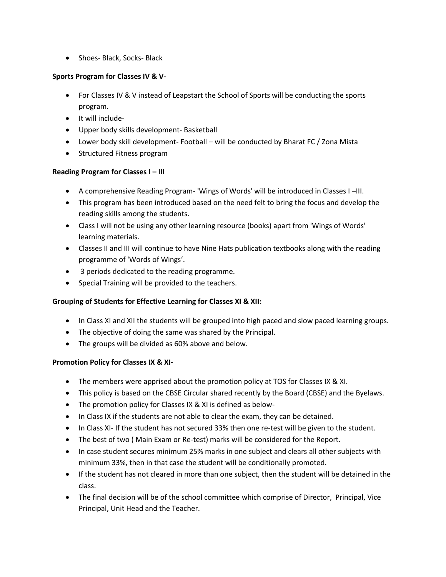• Shoes- Black, Socks- Black

### **Sports Program for Classes IV & V-**

- For Classes IV & V instead of Leapstart the School of Sports will be conducting the sports program.
- It will include-
- Upper body skills development- Basketball
- Lower body skill development- Football will be conducted by Bharat FC / Zona Mista
- Structured Fitness program

## **Reading Program for Classes I – III**

- A comprehensive Reading Program- 'Wings of Words' will be introduced in Classes I –III.
- This program has been introduced based on the need felt to bring the focus and develop the reading skills among the students.
- Class I will not be using any other learning resource (books) apart from 'Wings of Words' learning materials.
- Classes II and III will continue to have Nine Hats publication textbooks along with the reading programme of 'Words of Wings'.
- 3 periods dedicated to the reading programme.
- Special Training will be provided to the teachers.

# **Grouping of Students for Effective Learning for Classes XI & XII:**

- In Class XI and XII the students will be grouped into high paced and slow paced learning groups.
- The objective of doing the same was shared by the Principal.
- The groups will be divided as 60% above and below.

# **Promotion Policy for Classes IX & XI-**

- The members were apprised about the promotion policy at TOS for Classes IX & XI.
- This policy is based on the CBSE Circular shared recently by the Board (CBSE) and the Byelaws.
- The promotion policy for Classes IX & XI is defined as below-
- In Class IX if the students are not able to clear the exam, they can be detained.
- In Class XI- If the student has not secured 33% then one re-test will be given to the student.
- The best of two ( Main Exam or Re-test) marks will be considered for the Report.
- In case student secures minimum 25% marks in one subject and clears all other subjects with minimum 33%, then in that case the student will be conditionally promoted.
- If the student has not cleared in more than one subject, then the student will be detained in the class.
- The final decision will be of the school committee which comprise of Director, Principal, Vice Principal, Unit Head and the Teacher.